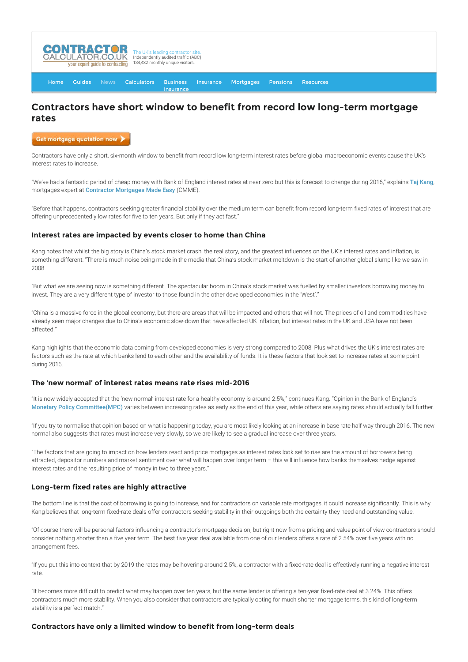

[Home](http://www.contractorcalculator.co.uk/) [Guides](http://www.contractorcalculator.co.uk/Articles.aspx) [News](http://www.contractorcalculator.co.uk/Contractor_News.aspx) [Calculators](http://www.contractorcalculator.co.uk/Calculators.aspx) Business Insurance [Insurance](http://www.contractorcalculator.co.uk/Contractor_Insurances.aspx) [Mortgages](http://www.contractorcalculator.co.uk/Contractor_Mortgages.aspx) [Pensions](http://www.contractorcalculator.co.uk/Contractor_Pensions.aspx) [Resources](http://www.contractorcalculator.co.uk/Contractor_Resources.aspx)

# **Contractors have short window to benefit from record low long-term mortgage rates**

Get mortgage quotation now )

Contractors have only a short, six-month window to benefit from record low long-term interest rates before global macroeconomic events cause the UK's interest rates to increase.

"We've had a fantastic period of cheap money with Bank of England interest rates at near zero but this is forecast to change during 2016," explains [Taj Kang](http://www.contractorcalculator.co.uk/ec_taj_kang.aspx), mortgages expert at [Contractor Mortgages Made Easy](http://www.contractorcalculator.co.uk/refer.aspx?site=www.contractorcalculator.co.uk&from=ARTICLE&frompk=CONTRACTORS_SHORT_WINDOW_MORTGAGE_RATES&url=http://www.contractormortgagesuk.com/) (CMME).

"Before that happens, contractors seeking greater financial stability over the medium term can benefit from record long-term fixed rates of interest that are offering unprecedentedly low rates for five to ten years. But only if they act fast."

### **Interest rates are impacted by events closer to home than China**

Kang notes that whilst the big story is China's stock market crash, the real story, and the greatest influences on the UK's interest rates and inflation, is something different: "There is much noise being made in the media that China's stock market meltdown is the start of another global slump like we saw in 2008.

"But what we are seeing now is something different. The spectacular boom in China's stock market was fuelled by smaller investors borrowing money to invest. They are a very different type of investor to those found in the other developed economies in the 'West'."

"China is a massive force in the global economy, but there are areas that will be impacted and others that will not. The prices of oil and commodities have already seen major changes due to China's economic slow-down that have affected UK inflation, but interest rates in the UK and USA have not been affected."

Kang highlights that the economic data coming from developed economies is very strong compared to 2008. Plus what drives the UK's interest rates are factors such as the rate at which banks lend to each other and the availability of funds. It is these factors that look set to increase rates at some point during 2016.

#### **The 'new normal' of interest rates means rate rises mid-2016**

"It is now widely accepted that the 'new normal' interest rate for a healthy economy is around 2.5%," continues Kang. "Opinion in the Bank of England's [Monetary Policy Committee\(MPC\)](http://www.bankofengland.co.uk/monetarypolicy/Pages/overview.aspx) varies between increasing rates as early as the end of this year, while others are saying rates should actually fall further.

"If you try to normalise that opinion based on what is happening today, you are most likely looking at an increase in base rate half way through 2016. The new normal also suggests that rates must increase very slowly, so we are likely to see a gradual increase over three years.

"The factors that are going to impact on how lenders react and price mortgages as interest rates look set to rise are the amount of borrowers being attracted, depositor numbers and market sentiment over what will happen over longer term – this will influence how banks themselves hedge against interest rates and the resulting price of money in two to three years."

## **Long-term fixed rates are highly attractive**

The bottom line is that the cost of borrowing is going to increase, and for contractors on variable rate mortgages, it could increase significantly. This is why Kang believes that long-term fixed-rate deals offer contractors seeking stability in their outgoings both the certainty they need and outstanding value.

"Of course there will be personal factors influencing a contractor's mortgage decision, but right now from a pricing and value point of view contractors should consider nothing shorter than a five year term. The best five year deal available from one of our lenders offers a rate of 2.54% over five years with no arrangement fees.

"If you put this into context that by 2019 the rates may be hovering around 2.5%, a contractor with a fixed-rate deal is effectively running a negative interest rate.

"It becomes more difficult to predict what may happen over ten years, but the same lender is offering a ten-year fixed-rate deal at 3.24%. This offers contractors much more stability. When you also consider that contractors are typically opting for much shorter mortgage terms, this kind of long-term stability is a perfect match."

## **Contractors have only a limited window to benefit from long-term deals**